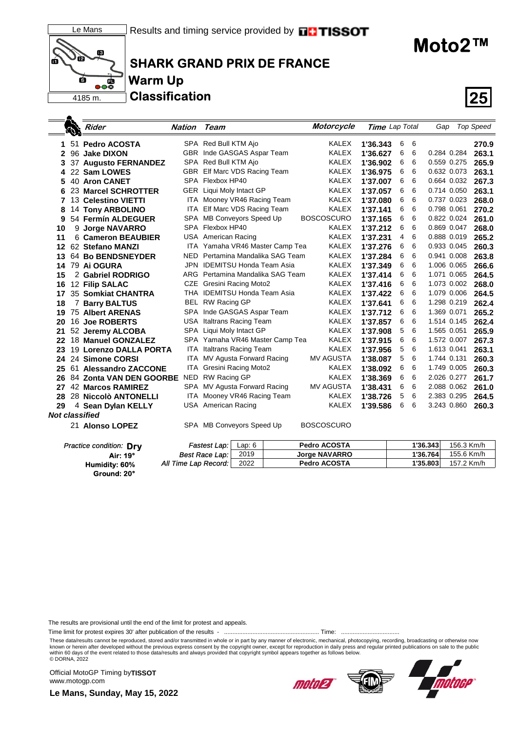



**SHARK GRAND PRIX DE FRANCE Warm Up**

**Classification 25**

**Moto2™**

|                |   | Rider                   | Nation | Team                            | Motorcycle        | Time Lap Total |   |   | Gap         | <b>Top Speed</b> |
|----------------|---|-------------------------|--------|---------------------------------|-------------------|----------------|---|---|-------------|------------------|
|                |   | 1 51 Pedro ACOSTA       |        | SPA Red Bull KTM Ajo            | <b>KALEX</b>      | 1'36.343       | 6 | 6 |             | 270.9            |
| $\mathbf{2}^-$ |   | 96 Jake DIXON           |        | GBR Inde GASGAS Aspar Team      | <b>KALEX</b>      | 1'36.627       | 6 | 6 | 0.284 0.284 | 263.1            |
|                |   | 3 37 Augusto FERNANDEZ  |        | SPA Red Bull KTM Ajo            | <b>KALEX</b>      | 1'36.902       | 6 | 6 | 0.559 0.275 | 265.9            |
|                |   | 4 22 Sam LOWES          |        | GBR Elf Marc VDS Racing Team    | <b>KALEX</b>      | 1'36.975       | 6 | 6 | 0.632 0.073 | 263.1            |
|                |   | 5 40 Aron CANET         |        | SPA Flexbox HP40                | <b>KALEX</b>      | 1'37.007       | 6 | 6 | 0.664 0.032 | 267.3            |
| 6.             |   | 23 Marcel SCHROTTER     |        | GER Liqui Moly Intact GP        | <b>KALEX</b>      | 1'37.057       | 6 | 6 | 0.714 0.050 | 263.1            |
| 7              |   | 13 Celestino VIETTI     |        | ITA Mooney VR46 Racing Team     | <b>KALEX</b>      | 1'37.080       | 6 | 6 | 0.737 0.023 | 268.0            |
| 8              |   | <b>14 Tony ARBOLINO</b> |        | ITA Elf Marc VDS Racing Team    | <b>KALEX</b>      | 1'37.141       | 6 | 6 | 0.798 0.061 | 270.2            |
| 9              |   | 54 Fermín ALDEGUER      |        | SPA MB Conveyors Speed Up       | <b>BOSCOSCURO</b> | 1'37.165       | 6 | 6 | 0.822 0.024 | 261.0            |
| 10             |   | 9 Jorge NAVARRO         |        | SPA Flexbox HP40                | <b>KALEX</b>      | 1'37.212       | 6 | 6 | 0.869 0.047 | 268.0            |
| 11             |   | 6 Cameron BEAUBIER      |        | USA American Racing             | <b>KALEX</b>      | 1'37.231       | 4 | 6 | 0.888 0.019 | 265.2            |
|                |   | 12 62 Stefano MANZI     |        | ITA Yamaha VR46 Master Camp Tea | <b>KALEX</b>      | 1'37.276       | 6 | 6 | 0.933 0.045 | 260.3            |
|                |   | 13 64 Bo BENDSNEYDER    | NED    | Pertamina Mandalika SAG Team    | <b>KALEX</b>      | 1'37.284       | 6 | 6 | 0.941 0.008 | 263.8            |
| 14.            |   | 79 Ai OGURA             | JPN.   | <b>IDEMITSU Honda Team Asia</b> | <b>KALEX</b>      | 1'37.349       | 6 | 6 | 1.006 0.065 | 266.6            |
| 15             |   | 2 Gabriel RODRIGO       | ARG    | Pertamina Mandalika SAG Team    | <b>KALEX</b>      | 1'37.414       | 6 | 6 | 1.071 0.065 | 264.5            |
|                |   | 16 12 Filip SALAC       | CZE    | Gresini Racing Moto2            | <b>KALEX</b>      | 1'37.416       | 6 | 6 | 1.073 0.002 | 268.0            |
| 17.            |   | 35 Somkiat CHANTRA      |        | THA IDEMITSU Honda Team Asia    | KALEX             | 1'37.422       | 6 | 6 | 1.079 0.006 | 264.5            |
| 18             | 7 | <b>Barry BALTUS</b>     |        | BEL RW Racing GP                | <b>KALEX</b>      | 1'37.641       | 6 | 6 | 1.298 0.219 | 262.4            |
| 19.            |   | <b>75 Albert ARENAS</b> |        | SPA Inde GASGAS Aspar Team      | <b>KALEX</b>      | 1'37.712       | 6 | 6 | 1.369 0.071 | 265.2            |
|                |   | 20 16 Joe ROBERTS       |        | USA Italtrans Racing Team       | KALEX             | 1'37.857       | 6 | 6 | 1.514 0.145 | 262.4            |

 52 **Jeremy ALCOBA** SPA Liqui Moly Intact GP KALEX **1'37.908** 5 6 1.565 0.051 **265.9** 18 **Manuel GONZALEZ** SPA Yamaha VR46 Master Camp Tea KALEX **1'37.915** 6 6 1.572 0.007 **267.3** 19 **Lorenzo DALLA PORTA** ITA Italtrans Racing Team KALEX **1'37.956** 5 6 1.613 0.041 **263.1** 24 **Simone CORSI** ITA MV Agusta Forward Racing MV AGUSTA **1'38.087** 5 6 1.744 0.131 **260.3** 61 **Alessandro ZACCONE** ITA Gresini Racing Moto2 KALEX **1'38.092** 6 6 1.749 0.005 **260.3** 84 **Zonta VAN DEN GOORBE** NED RW Racing GP KALEX **1'38.369** 6 6 2.026 0.277 **261.7** 42 **Marcos RAMIREZ** SPA MV Agusta Forward Racing MV AGUSTA **1'38.431** 6 6 2.088 0.062<br>**28** 28 **Niccolò ANTONELLI** ITA Mooney VR46 Racing Team KALEX **1'38.726** 5 6 2.383 0.295 28 **Niccolò ANTONELLI** ITA Mooney VR46 Racing Team KALEX **1'38.726** 5 6 2.383 0.295 **264.5**

21 **Alonso LOPEZ** SPA MB Conveyors Speed Up BOSCOSCURO

2019

*Best Race Lap: All Time Lap Record:*

The results are provisional until the end of the limit for protest and appeals.

Time limit for protest expires 30' after publication of the results - ......................................................... Time: ...................................

These data/results cannot be reproduced, stored and/or transmitted in whole or in part by any manner of electronic, mechanical, photocopying, recording, broadcasting or otherwise now<br>known or herein after developed without within 60 days of the event related to those data/results and always provided that copyright symbol appears together as follows below. © DORNA, 2022

Official MotoGP Timing by **TISSOT**www.motogp.com

**Le Mans, Sunday, May 15, 2022**

**29 Sean Dylan KELLY** 

**Air: 19°**

**Ground: 20° Humidity: 60%**

**Practice condition: Dry** 

*Not classified*



*Fastest Lap:* Lap: 6 **Pedro ACOSTA 1'36.343** 156.3 Km/h

2022 **Pedro ACOSTA 1'35.803** 157.2 Km/h

**Jorge NAVARRO 1'36.764** 155.6 Km/h

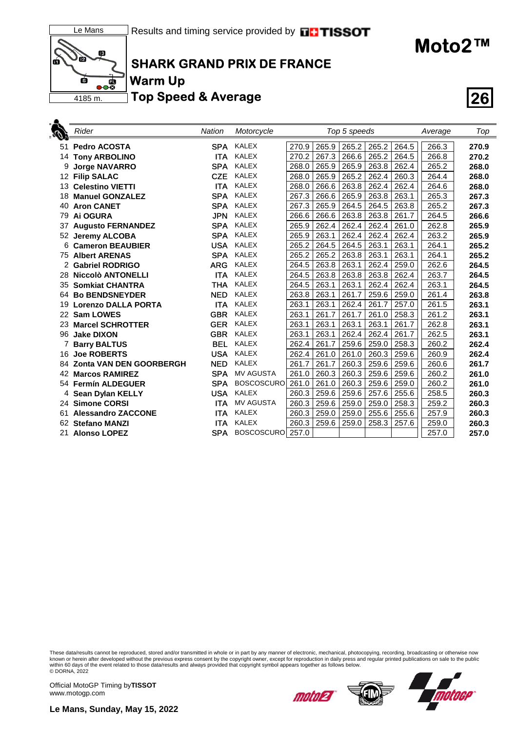



### **SHARK GRAND PRIX DE FRANCE**

**Warm Up**

**Top Speed & Average 26**

|                 | Rider                          | <b>Nation</b> | Motorcycle        |       |       | Top 5 speeds |       |       | Average | Top   |
|-----------------|--------------------------------|---------------|-------------------|-------|-------|--------------|-------|-------|---------|-------|
| 51              | <b>Pedro ACOSTA</b>            | SPA.          | KALEX             | 270.9 | 265.9 | 265.2        | 265.2 | 264.5 | 266.3   | 270.9 |
| 14              | <b>Tony ARBOLINO</b>           | <b>ITA</b>    | <b>KALEX</b>      | 270.2 | 267.3 | 266.6        | 265.2 | 264.5 | 266.8   | 270.2 |
|                 | <b>Jorge NAVARRO</b>           | <b>SPA</b>    | <b>KALEX</b>      | 268.0 | 265.9 | 265.9        | 263.8 | 262.4 | 265.2   | 268.0 |
| 12 <sup>2</sup> | <b>Filip SALAC</b>             | <b>CZE</b>    | <b>KALEX</b>      | 268.0 | 265.9 | 265.2        | 262.4 | 260.3 | 264.4   | 268.0 |
| 13              | <b>Celestino VIETTI</b>        | <b>ITA</b>    | <b>KALEX</b>      | 268.0 | 266.6 | 263.8        | 262.4 | 262.4 | 264.6   | 268.0 |
| 18              | <b>Manuel GONZALEZ</b>         | <b>SPA</b>    | <b>KALEX</b>      | 267.3 | 266.6 | 265.9        | 263.8 | 263.1 | 265.3   | 267.3 |
| 40              | <b>Aron CANET</b>              | <b>SPA</b>    | <b>KALEX</b>      | 267.3 | 265.9 | 264.5        | 264.5 | 263.8 | 265.2   | 267.3 |
| 79              | Ai OGURA                       | <b>JPN</b>    | <b>KALEX</b>      | 266.6 | 266.6 | 263.8        | 263.8 | 261.7 | 264.5   | 266.6 |
| 37              | <b>Augusto FERNANDEZ</b>       | <b>SPA</b>    | <b>KALEX</b>      | 265.9 | 262.4 | 262.4        | 262.4 | 261.0 | 262.8   | 265.9 |
| 52              | <b>Jeremy ALCOBA</b>           | <b>SPA</b>    | <b>KALEX</b>      | 265.9 | 263.1 | 262.4        | 262.4 | 262.4 | 263.2   | 265.9 |
| 6               | <b>Cameron BEAUBIER</b>        | <b>USA</b>    | <b>KALEX</b>      | 265.2 | 264.5 | 264.5        | 263.1 | 263.1 | 264.1   | 265.2 |
| 75              | <b>Albert ARENAS</b>           | <b>SPA</b>    | <b>KALEX</b>      | 265.2 | 265.2 | 263.8        | 263.1 | 263.1 | 264.1   | 265.2 |
|                 | <b>Gabriel RODRIGO</b>         | <b>ARG</b>    | <b>KALEX</b>      | 264.5 | 263.8 | 263.1        | 262.4 | 259.0 | 262.6   | 264.5 |
| 28              | <b>Niccolò ANTONELLI</b>       | <b>ITA</b>    | <b>KALEX</b>      | 264.5 | 263.8 | 263.8        | 263.8 | 262.4 | 263.7   | 264.5 |
| 35              | <b>Somkiat CHANTRA</b>         | <b>THA</b>    | <b>KALEX</b>      | 264.5 | 263.1 | 263.1        | 262.4 | 262.4 | 263.1   | 264.5 |
| 64              | <b>Bo BENDSNEYDER</b>          | <b>NED</b>    | <b>KALEX</b>      | 263.8 | 263.1 | 261.7        | 259.6 | 259.0 | 261.4   | 263.8 |
| 19              | <b>Lorenzo DALLA PORTA</b>     | <b>ITA</b>    | <b>KALEX</b>      | 263.1 | 263.1 | 262.4        | 261.7 | 257.0 | 261.5   | 263.1 |
| 22              | <b>Sam LOWES</b>               | <b>GBR</b>    | <b>KALEX</b>      | 263.1 | 261.7 | 261.7        | 261.0 | 258.3 | 261.2   | 263.1 |
| 23              | <b>Marcel SCHROTTER</b>        | <b>GER</b>    | <b>KALEX</b>      | 263.1 | 263.1 | 263.1        | 263.1 | 261.7 | 262.8   | 263.1 |
| 96              | <b>Jake DIXON</b>              | <b>GBR</b>    | <b>KALEX</b>      | 263.1 | 263.1 | 262.4        | 262.4 | 261.7 | 262.5   | 263.1 |
|                 | <b>Barry BALTUS</b>            | <b>BEL</b>    | <b>KALEX</b>      | 262.4 | 261.7 | 259.6        | 259.0 | 258.3 | 260.2   | 262.4 |
| 16              | <b>Joe ROBERTS</b>             | <b>USA</b>    | <b>KALEX</b>      | 262.4 | 261.0 | 261.0        | 260.3 | 259.6 | 260.9   | 262.4 |
| 84              | <b>Zonta VAN DEN GOORBERGH</b> | <b>NED</b>    | <b>KALEX</b>      | 261.7 | 261.7 | 260.3        | 259.6 | 259.6 | 260.6   | 261.7 |
| 42              | <b>Marcos RAMIREZ</b>          | <b>SPA</b>    | <b>MV AGUSTA</b>  | 261.0 | 260.3 | 260.3        | 259.6 | 259.6 | 260.2   | 261.0 |
| 54.             | <b>Fermín ALDEGUER</b>         | <b>SPA</b>    | <b>BOSCOSCURO</b> | 261.0 | 261.0 | 260.3        | 259.6 | 259.0 | 260.2   | 261.0 |
|                 | 4 Sean Dylan KELLY             | <b>USA</b>    | <b>KALEX</b>      | 260.3 | 259.6 | 259.6        | 257.6 | 255.6 | 258.5   | 260.3 |
|                 | 24 Simone CORSI                | ITA           | <b>MV AGUSTA</b>  | 260.3 | 259.6 | 259.0        | 259.0 | 258.3 | 259.2   | 260.3 |
| 61              | <b>Alessandro ZACCONE</b>      | <b>ITA</b>    | <b>KALEX</b>      | 260.3 | 259.0 | 259.0        | 255.6 | 255.6 | 257.9   | 260.3 |
| 62              | <b>Stefano MANZI</b>           | ITA           | <b>KALEX</b>      | 260.3 | 259.6 | 259.0        | 258.3 | 257.6 | 259.0   | 260.3 |
| 21              | <b>Alonso LOPEZ</b>            | <b>SPA</b>    | <b>BOSCOSCURO</b> | 257.0 |       |              |       |       | 257.0   | 257.0 |

These data/results cannot be reproduced, stored and/or transmitted in whole or in part by any manner of electronic, mechanical, photocopying, recording, broadcasting or otherwise now<br>known or herein after developed without

Official MotoGP Timing by **TISSOT**www.motogp.com



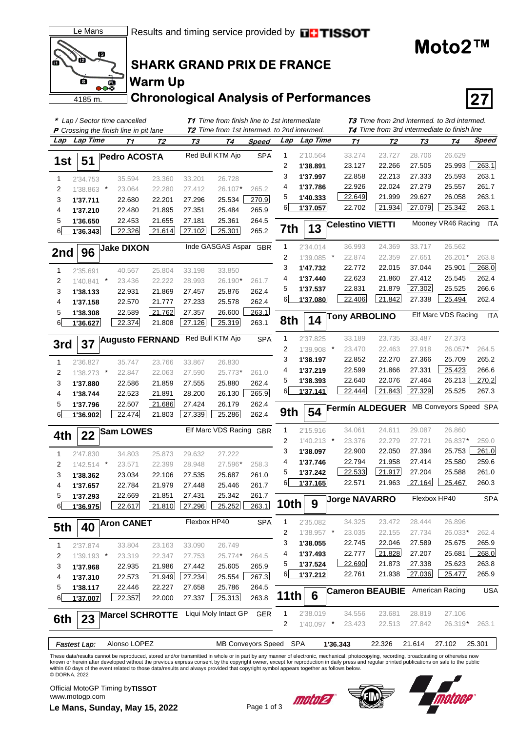

## **SHARK GRAND PRIX DE FRANCE**

# **Warm Up**

**Chronological Analysis of Performances 27**

| * Lap / Sector time cancelled<br><b>T1</b> Time from finish line to 1st intermediate<br><b>T2</b> Time from 1st intermed. to 2nd intermed.<br><b>P</b> Crossing the finish line in pit lane |              |         |                        |        |              |                          |            |              |              |                    |                                        | <b>T3</b> Time from 2nd intermed. to 3rd intermed.<br><b>T4</b> Time from 3rd intermediate to finish line |                        |              |
|---------------------------------------------------------------------------------------------------------------------------------------------------------------------------------------------|--------------|---------|------------------------|--------|--------------|--------------------------|------------|--------------|--------------|--------------------|----------------------------------------|-----------------------------------------------------------------------------------------------------------|------------------------|--------------|
| Lap                                                                                                                                                                                         | Lap Time     |         | T1                     | Т2     | <u>ТЗ</u>    | Т4                       | Speed      | Lap          | Lap Time     | <u>Т1</u>          | <u>T2</u>                              | <b>T3</b>                                                                                                 | T4                     | <b>Speed</b> |
|                                                                                                                                                                                             |              |         |                        |        |              |                          |            |              |              |                    |                                        |                                                                                                           |                        |              |
| 1st                                                                                                                                                                                         | 51           |         | <b>Pedro ACOSTA</b>    |        |              | Red Bull KTM Ajo         | <b>SPA</b> | 1            | 2'10.564     | 33.274             | 23.727                                 | 28.706                                                                                                    | 26.629                 |              |
|                                                                                                                                                                                             |              |         |                        |        |              |                          |            | 2            | 1'38.891     | 23.127             | 22.266                                 | 27.505                                                                                                    | 25.993                 | 263.1        |
| 1                                                                                                                                                                                           | 2'34.753     |         | 35.594                 | 23.360 | 33.201       | 26.728                   |            | 3            | 1'37.997     | 22.858             | 22.213                                 | 27.333                                                                                                    | 25.593                 | 263.1        |
| 2                                                                                                                                                                                           | 1'38.863 *   |         | 23.064                 | 22.280 | 27.412       | 26.107*                  | 265.2      | 4            | 1'37.786     | 22.926             | 22.024                                 | 27.279                                                                                                    | 25.557                 | 261.7        |
| 3                                                                                                                                                                                           | 1'37.711     |         | 22.680                 | 22.201 | 27.296       | 25.534                   | 270.9      | 5            | 1'40.333     | 22.649             | 21.999                                 | 29.627                                                                                                    | 26.058                 | 263.1        |
| 4                                                                                                                                                                                           | 1'37.210     |         | 22.480                 | 21.895 | 27.351       | 25.484                   | 265.9      | 6            | 1'37.057     | 22.702             | 21.934                                 | 27.079                                                                                                    | 25.342                 | 263.1        |
| 5                                                                                                                                                                                           | 1'36.650     |         | 22.453                 | 21.655 | 27.181       | 25.361                   | 264.5      |              | 13           |                    | <b>Celestino VIETTI</b>                |                                                                                                           | Mooney VR46 Racing     | ITA          |
| 6                                                                                                                                                                                           | 1'36.343     |         | 22.326                 | 21.614 | 27.102       | 25.301                   | 265.2      | 7th          |              |                    |                                        |                                                                                                           |                        |              |
|                                                                                                                                                                                             |              |         | <b>Jake DIXON</b>      |        |              | Inde GASGAS Aspar GBR    |            | $\mathbf{1}$ | 2'34.014     | 36.993             | 24.369                                 | 33.717                                                                                                    | 26.562                 |              |
| 2nd                                                                                                                                                                                         | 96           |         |                        |        |              |                          |            | 2            | 1'39.085     | $\ast$<br>22.874   | 22.359                                 | 27.651                                                                                                    | 26.201*                | 263.8        |
| $\mathbf{1}$                                                                                                                                                                                | 2'35.691     |         | 40.567                 | 25.804 | 33.198       | 33.850                   |            | 3            | 1'47.732     | 22.772             | 22.015                                 | 37.044                                                                                                    | 25.901                 | 268.0        |
| 2                                                                                                                                                                                           | 1'40.841     | $\star$ | 23.436                 | 22.222 | 28.993       | 26.190*                  | 261.7      | 4            | 1'37.440     | 22.623             | 21.860                                 | 27.412                                                                                                    | 25.545                 | 262.4        |
| 3                                                                                                                                                                                           | 1'38.133     |         | 22.931                 | 21.869 | 27.457       | 25.876                   | 262.4      | 5            | 1'37.537     | 22.831             | 21.879                                 | 27.302                                                                                                    | 25.525                 | 266.6        |
| 4                                                                                                                                                                                           | 1'37.158     |         | 22.570                 | 21.777 | 27.233       | 25.578                   | 262.4      | 6            | 1'37.080     | 22.406             | 21.842                                 | 27.338                                                                                                    | 25.494                 | 262.4        |
| 5                                                                                                                                                                                           | 1'38.308     |         | 22.589                 | 21.762 | 27.357       | 26.600                   | 263.1      |              |              |                    | <b>Tony ARBOLINO</b>                   |                                                                                                           | Elf Marc VDS Racing    | <b>ITA</b>   |
| 6                                                                                                                                                                                           | 1'36.627     |         | 22.374                 | 21.808 | 27.126       | 25.319                   | 263.1      | 8th          | 14           |                    |                                        |                                                                                                           |                        |              |
|                                                                                                                                                                                             |              |         |                        |        |              | Red Bull KTM Ajo         |            | $\mathbf{1}$ |              | 33.189             | 23.735                                 | 33.487                                                                                                    | 27.373                 |              |
| 3rd                                                                                                                                                                                         | 37           |         | <b>Augusto FERNAND</b> |        |              |                          | <b>SPA</b> |              | 2'37.825     | $^\star$<br>23.470 | 22.463                                 | 27.918                                                                                                    | 26.057*                |              |
|                                                                                                                                                                                             |              |         |                        |        |              |                          |            | 2            | 1'39.908     |                    |                                        |                                                                                                           |                        | 264.5        |
| 1                                                                                                                                                                                           | 2'36.827     |         | 35.747                 | 23.766 | 33.867       | 26.830                   |            | 3            | 1'38.197     | 22.852             | 22.270                                 | 27.366                                                                                                    | 25.709                 | 265.2        |
| 2                                                                                                                                                                                           | $1'38.273$ * |         | 22.847                 | 22.063 | 27.590       | 25.773*                  | 261.0      | 4            | 1'37.219     | 22.599             | 21.866                                 | 27.331                                                                                                    | 25.423                 | 266.6        |
| 3                                                                                                                                                                                           | 1'37.880     |         | 22.586                 | 21.859 | 27.555       | 25.880                   | 262.4      | 5            | 1'38.393     | 22.640             | 22.076                                 | 27.464                                                                                                    | 26.213                 | 270.2        |
| 4                                                                                                                                                                                           | 1'38.744     |         | 22.523                 | 21.891 | 28.200       | 26.130                   | 265.9      | 6            | 1'37.141     | 22.444             | 21.843                                 | 27.329                                                                                                    | 25.525                 | 267.3        |
| 5                                                                                                                                                                                           | 1'37.796     |         | 22.507                 | 21.686 | 27.424       | 26.179                   | 262.4      |              | 54           |                    | Fermín ALDEGUER                        |                                                                                                           | MB Conveyors Speed SPA |              |
| 6                                                                                                                                                                                           | 1'36.902     |         | 22.474                 | 21.803 | 27.339       | 25.286                   | 262.4      | 9th          |              |                    |                                        |                                                                                                           |                        |              |
|                                                                                                                                                                                             |              |         | <b>Sam LOWES</b>       |        |              | Elf Marc VDS Racing GBR  |            | 1            | 2'15.916     | 34.061             | 24.611                                 | 29.087                                                                                                    | 26.860                 |              |
| 4th                                                                                                                                                                                         | 22           |         |                        |        |              |                          |            | 2            | 1'40.213     | $\cdot$<br>23.376  | 22.279                                 | 27.721                                                                                                    | 26.837*                | 259.0        |
| $\mathbf{1}$                                                                                                                                                                                | 2'47.830     |         | 34.803                 | 25.873 | 29.632       | 27.222                   |            | 3            | 1'38.097     | 22.900             | 22.050                                 | 27.394                                                                                                    | 25.753                 | 261.0        |
| 2                                                                                                                                                                                           | $1'42.514$ * |         | 23.571                 | 22.399 | 28.948       | 27.596*                  | 258.3      | 4            | 1'37.746     | 22.794             | 21.958                                 | 27.414                                                                                                    | 25.580                 | 259.6        |
| 3                                                                                                                                                                                           | 1'38.362     |         | 23.034                 | 22.106 | 27.535       | 25.687                   | 261.0      | 5            | 1'37.242     | 22.533             | 21.917                                 | 27.204                                                                                                    | 25.588                 | 261.0        |
| 4                                                                                                                                                                                           | 1'37.657     |         | 22.784                 | 21.979 | 27.448       | 25.446                   | 261.7      | 6            | 1'37.165     | 22.571             | 21.963                                 | 27.164                                                                                                    | 25.467                 | 260.3        |
| 5                                                                                                                                                                                           | 1'37.293     |         | 22.669                 | 21.851 | 27.431       | 25.342                   | 261.7      |              |              |                    |                                        |                                                                                                           | Flexbox HP40           | <b>SPA</b>   |
| 6                                                                                                                                                                                           | 1'36.975     |         | 22.617                 | 21.810 | 27.296       | 25.252                   | 263.1      | 10th         | q            |                    | <b>Jorge NAVARRO</b>                   |                                                                                                           |                        |              |
|                                                                                                                                                                                             |              |         |                        |        | Flexbox HP40 |                          | <b>SPA</b> | 1            | 2'35.082     | 34.325             | 23.472                                 | 28.444                                                                                                    | 26.896                 |              |
| 5th                                                                                                                                                                                         | 40           |         | <b>Aron CANET</b>      |        |              |                          |            | 2            | 1'38.957 *   | 23.035             | 22.155                                 | 27.734                                                                                                    | 26.033*                | 262.4        |
|                                                                                                                                                                                             |              |         |                        |        |              |                          |            | 3            | 1'38.055     | 22.745             | 22.046                                 | 27.589                                                                                                    | 25.675                 | 265.9        |
| 1                                                                                                                                                                                           | 2'37.874     |         | 33.804                 | 23.163 | 33.090       | 26.749                   |            | 4            | 1'37.493     | 22.777             | 21.828                                 | 27.207                                                                                                    | 25.681                 | 268.0        |
| 2                                                                                                                                                                                           | 1'39.193 *   |         | 23.319                 | 22.347 | 27.753       | 25.774*                  | 264.5      | 5            | 1'37.524     | 22.690             | 21.873                                 | 27.338                                                                                                    | 25.623                 | 263.8        |
| 3                                                                                                                                                                                           | 1'37.968     |         | 22.935                 | 21.986 | 27.442       | 25.605                   | 265.9      | 6            | 1'37.212     | 22.761             | 21.938                                 | 27.036                                                                                                    | 25.477                 | 265.9        |
| 4                                                                                                                                                                                           | 1'37.310     |         | 22.573                 | 21.949 | 27.234       | 25.554                   | 267.3      |              |              |                    |                                        |                                                                                                           |                        |              |
| 5                                                                                                                                                                                           | 1'38.117     |         | 22.446                 | 22.227 | 27.658       | 25.786                   | 264.5      | 11th         | 6            |                    | <b>Cameron BEAUBIE</b> American Racing |                                                                                                           |                        | <b>USA</b>   |
| 6                                                                                                                                                                                           | 1'37.007     |         | 22.357                 | 22.000 | 27.337       | 25.313                   | 263.8      |              |              |                    |                                        |                                                                                                           |                        |              |
|                                                                                                                                                                                             |              |         | <b>Marcel SCHROTTE</b> |        |              | Liqui Moly Intact GP GER |            | $\mathbf{1}$ | 2'38.019     | 34.556             | 23.681                                 | 28.819                                                                                                    | 27.106                 |              |
| 6th                                                                                                                                                                                         | 23           |         |                        |        |              |                          |            | 2            | $1'40.097$ * | 23.423             | 22.513                                 | 27.842                                                                                                    | 26.319*                | 263.1        |
|                                                                                                                                                                                             |              |         |                        |        |              |                          |            |              |              |                    |                                        |                                                                                                           |                        |              |
|                                                                                                                                                                                             | Fastest Lap: |         | Alonso LOPEZ           |        |              | MB Conveyors Speed SPA   |            |              |              | 1'36.343           | 22.326                                 | 21.614                                                                                                    | 27.102                 | 25.301       |

These data/results cannot be reproduced, stored and/or transmitted in whole or in part by any manner of electronic, mechanical, photocopying, recording, broadcasting or otherwise now<br>known or herein after developed without © DORNA, 2022

**Le Mans, Sunday, May 15, 2022** Page 1 of 3 Official MotoGP Timing by **TISSOT**www.motogp.com



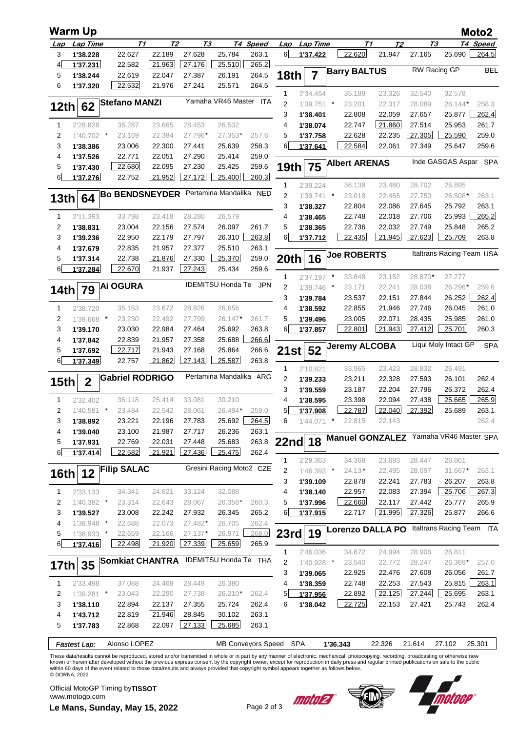|                         | <b>Warm Up</b>           |         |                        |                  |                  |                              |            |                   |                          |         |                      |                  |                  |                                            | Moto2          |
|-------------------------|--------------------------|---------|------------------------|------------------|------------------|------------------------------|------------|-------------------|--------------------------|---------|----------------------|------------------|------------------|--------------------------------------------|----------------|
| Lap                     | Lap Time                 |         | T1                     | Т2               | TЗ               |                              | T4 Speed   | Lap               | <b>Lap Time</b>          |         |                      | Т1<br>Т2         |                  | TЗ                                         | T4 Speed       |
| 3                       | 1'38.228                 |         | 22.627                 | 22.189           | 27.628           | 25.784                       | 263.1      | 6                 | 1'37.422                 |         | 22.620               | 21.947           | 27.165           | 25.690                                     | 264.5          |
| $\overline{4}$          | 1'37.231                 |         | 22.582                 | 21.963           | 27.176           | 25.510                       | 265.2      |                   |                          |         | <b>Barry BALTUS</b>  |                  |                  | RW Racing GP                               | <b>BEL</b>     |
| 5                       | 1'38.244                 |         | 22.619                 | 22.047           | 27.387           | 26.191                       | 264.5      | <b>18th</b>       | $\overline{7}$           |         |                      |                  |                  |                                            |                |
| 6                       | 1'37.320                 |         | 22.532                 | 21.976           | 27.241           | 25.571                       | 264.5      | 1                 | 2'34.494                 |         | 35.189               | 23.326           | 32.540           | 32.578                                     |                |
|                         |                          |         | <b>Stefano MANZI</b>   |                  |                  | Yamaha VR46 Master ITA       |            | $\overline{2}$    | 1'39.751                 | $\star$ | 23.201               | 22.317           | 28.089           | 26.144*                                    | 258.3          |
| 12th                    | 62                       |         |                        |                  |                  |                              |            | 3                 | 1'38.401                 |         | 22.808               | 22.059           | 27.657           | 25.877                                     | 262.4          |
| 1                       | 2'28.828                 |         | 35.287                 | 23.665           | 28.453           | 26.532                       |            | 4                 | 1'38.074                 |         | 22.747               | 21.860           | 27.514           | 25.953                                     | 261.7          |
| $\overline{\mathbf{c}}$ | $1'40.702$ *             |         | 23.169                 | 22.384           | 27.796*          | 27.353*                      | 257.6      | 5                 | 1'37.758                 |         | 22.628               | 22.235           | 27.305           | 25.590                                     | 259.0          |
| 3                       | 1'38.386                 |         | 23.006                 | 22.300           | 27.441           | 25.639                       | 258.3      | 6                 | 1'37.641                 |         | 22.584               | 22.061           | 27.349           | 25.647                                     | 259.6          |
| 4                       | 1'37.526                 |         | 22.771                 | 22.051           | 27.290           | 25.414                       | 259.0      |                   |                          |         | <b>Albert ARENAS</b> |                  |                  | Inde GASGAS Aspar                          | <b>SPA</b>     |
| 5                       | 1'37.430                 |         | 22.680                 | 22.095           | 27.230           | 25.425                       | 259.6      | 19th              | 75                       |         |                      |                  |                  |                                            |                |
| $6 \mid$                | 1'37.276                 |         | 22.752                 | 21.952           | 27.172           | 25.400                       | 260.3      |                   |                          |         |                      |                  |                  |                                            |                |
|                         |                          |         | <b>Bo BENDSNEYDER</b>  |                  |                  | Pertamina Mandalika NED      |            | $\mathbf{1}$<br>2 | 2'39.224<br>$1'39.741$ * |         | 36.138<br>23.018     | 23.480<br>22.465 | 28.702<br>27.750 | 26.895<br>26.508*                          | 263.1          |
| 13 <sub>th</sub>        | 64                       |         |                        |                  |                  |                              |            | 3                 | 1'38.327                 |         | 22.804               | 22.086           | 27.645           | 25.792                                     | 263.1          |
| 1                       | 2'11.353                 |         | 33.798                 | 23.418           | 28.280           | 26.579                       |            | 4                 | 1'38.465                 |         | 22.748               | 22.018           | 27.706           | 25.993                                     | 265.2          |
| 2                       | 1'38.831                 |         | 23.004                 | 22.156           | 27.574           | 26.097                       | 261.7      | 5                 | 1'38.365                 |         | 22.736               | 22.032           | 27.749           | 25.848                                     | 265.2          |
| 3                       | 1'39.236                 |         | 22.950                 | 22.179           | 27.797           | 26.310                       | 263.8      | 6                 | 1'37.712                 |         | 22.435               | 21.945           | 27.623           | 25.709                                     | 263.8          |
| 4                       | 1'37.679                 |         | 22.835                 | 21.957           | 27.377           | 25.510                       | 263.1      |                   |                          |         |                      |                  |                  |                                            |                |
| 5                       | 1'37.314                 |         | 22.738                 | 21.876           | 27.330           | 25.370                       | 259.0      | 20 <sub>th</sub>  | 16                       |         | <b>Joe ROBERTS</b>   |                  |                  | Italtrans Racing Team USA                  |                |
| 6 <sup>1</sup>          | 1'37.284                 |         | 22.670                 | 21.937           | 27.243           | 25.434                       | 259.6      |                   |                          |         |                      |                  |                  |                                            |                |
|                         |                          |         | <b>Ai OGURA</b>        |                  |                  | <b>IDEMITSU Honda Te</b>     | <b>JPN</b> | 1<br>2            | $2'37.197$ *             | $\ast$  | 33.848               | 23.152<br>22.241 | 28.870*          | 27.277<br>26.296*                          | 259.6          |
| 14th                    | 79                       |         |                        |                  |                  |                              |            | 3                 | 1'39.746<br>1'39.784     |         | 23.171<br>23.537     | 22.151           | 28.038<br>27.844 | 26.252                                     | 262.4          |
| 1                       | 2'38.720                 |         | 35.153                 | 23.672           | 28.826           | 26.656                       |            | 4                 | 1'38.592                 |         | 22.855               | 21.946           | 27.746           | 26.045                                     | 261.0          |
| 2                       | 1'39.668 *               |         | 23.230                 | 22.492           | 27.799           | 26.147*                      | 261.7      | 5                 | 1'39.496                 |         | 23.005               | 22.071           | 28.435           | 25.985                                     | 261.0          |
| 3                       | 1'39.170                 |         | 23.030                 | 22.984           | 27.464           | 25.692                       | 263.8      | 6                 | 1'37.857                 |         | 22.801               | 21.943           | 27.412           | 25.701                                     | 260.3          |
| 4                       | 1'37.842                 |         | 22.839                 | 21.957           | 27.358           | 25.688                       | 266.6      |                   |                          |         |                      |                  |                  |                                            |                |
| 5                       | 1'37.692                 |         | 22.717                 | 21.943           | 27.168           | 25.864                       | 266.6      | 21st              | 52                       |         | <b>Jeremy ALCOBA</b> |                  |                  | Liqui Moly Intact GP                       | <b>SPA</b>     |
| $6\sqrt{ }$             | 1'37.349                 |         | 22.757                 | 21.862           | 27.143           | 25.587                       | 263.8      |                   |                          |         |                      |                  |                  |                                            |                |
|                         |                          |         | <b>Gabriel RODRIGO</b> |                  |                  | Pertamina Mandalika ARG      |            | 1                 | 2'10.821                 |         | 33.965               | 23.423           | 28.832           | 26.491                                     |                |
| 15 <sub>th</sub>        | $\boldsymbol{2}$         |         |                        |                  |                  |                              |            | $\overline{2}$    | 1'39.233                 |         | 23.211               | 22.328           | 27.593           | 26.101                                     | 262.4          |
| 1                       | 2'32.402                 |         | 36.118                 | 25.414           | 33.081           | 30.210                       |            | 3<br>4            | 1'39.559<br>1'38.595     |         | 23.187<br>23.398     | 22.204<br>22.094 | 27.796<br>27.438 | 26.372<br>25.665                           | 262.4<br>265.9 |
| 2                       | 1'40.581                 | $\star$ | 23.484                 | 22.542           | 28.061           | 26.494*                      | 259.0      | 5                 | 1'37.908                 |         | 22.787               | 22.040           | 27.392           | 25.689                                     | 263.1          |
| 3                       | 1'38.892                 |         | 23.221                 | 22.196           | 27.783           | 25.692                       | 264.5      | 6                 | $1'44.071$ *             |         | 22.815               | 22.143           |                  |                                            | 262.4          |
| 4                       | 1'39.040                 |         | 23.100                 | 21.987           | 27.717           | 26.236                       | 263.1      |                   |                          |         |                      |                  |                  |                                            |                |
| 5                       | 1'37.931                 |         | 22.769                 | 22.031           | 27.448           | 25.683                       | 263.8      |                   | <b>22nd 18</b>           |         |                      |                  |                  | Manuel GONZALEZ Yamaha VR46 Master SPA     |                |
| 6                       | 1'37.414                 |         | 22.582                 | 21.921           | 27.436           | 25.475                       | 262.4      |                   |                          |         |                      |                  |                  |                                            |                |
|                         |                          |         | <b>Filip SALAC</b>     |                  |                  | Gresini Racing Moto2 CZE     |            | 1                 | 2'29.363                 |         | 34.368               | 23.693           | 28.447           | 26.861                                     |                |
| <b>16th</b>             | 12                       |         |                        |                  |                  |                              |            | 2                 | 1'46.393 *               |         | $24.13*$             | 22.495           | 28.097           | 31.667*                                    | 263.1          |
| 1                       | 2'33.133                 |         | 34.341                 | 24.621           | 33.124           | 32.088                       |            | 3<br>4            | 1'39.109<br>1'38.140     |         | 22.878<br>22.957     | 22.241<br>22.083 | 27.783<br>27.394 | 26.207<br>25.706                           | 263.8<br>267.3 |
| 2                       | $1'40.382$ *             |         | 23.314                 | 22.643           | 28.067           | 26.358*                      | 260.3      | 5                 | 1'37.996                 |         | 22.660               | 22.117           | 27.442           | 25.777                                     | 265.9          |
| 3                       | 1'39.527                 |         | 23.008                 | 22.242           | 27.932           | 26.345                       | 265.2      | 6                 | 1'37.915                 |         | 22.717               | 21.995           | 27.326           | 25.877                                     | 266.6          |
| 4                       | 1'38.948 *               |         | 22.688                 | 22.073           | 27.482*          | 26.705                       | 262.4      |                   |                          |         |                      |                  |                  |                                            |                |
| 5                       | 1'38.933 *               |         | 22.659                 | 22.166           | 27.137*          | 26.971                       | 268.0      |                   | 23rd 19                  |         |                      |                  |                  | Lorenzo DALLA PO Italtrans Racing Team ITA |                |
| 6 <sup>1</sup>          | 1'37.416                 |         | 22.498                 | 21.920           | 27.339           | 25.659                       | 265.9      |                   |                          |         |                      |                  |                  |                                            |                |
|                         |                          |         |                        |                  |                  | <b>IDEMITSU Honda Te THA</b> |            | $\mathbf{1}$      | 2'46.036                 |         | 34.672               | 24.994           | 28.906           | 26.811                                     |                |
| 17th                    | 35                       |         | <b>Somkiat CHANTRA</b> |                  |                  |                              |            | 2                 | 1'40.928 *               |         | 23.540               | 22.772           | 28.247           | 26.369*                                    | 257.0          |
|                         |                          |         |                        |                  |                  |                              |            | 3                 | 1'39.065                 |         | 22.925               | 22.476           | 27.608           | 26.056                                     | 261.7          |
| $\mathbf{1}$<br>2       | 2'33.498<br>$1'39.281$ * |         | 37.088<br>23.043       | 24.468<br>22.290 | 28.449<br>27.738 | 26.380<br>26.210*            | 262.4      | 4<br>5            | 1'38.359<br>1'37.956     |         | 22.748<br>22.892     | 22.253<br>22.125 | 27.543<br>27.244 | 25.815<br>25.695                           | 263.1<br>263.1 |
| 3                       | 1'38.110                 |         | 22.894                 | 22.137           | 27.355           | 25.724                       | 262.4      | 6                 | 1'38.042                 |         | 22.725               | 22.153           | 27.421           | 25.743                                     | 262.4          |
| 4                       | 1'43.712                 |         | 22.819                 | 21.946           | 28.845           | 30.102                       | 263.1      |                   |                          |         |                      |                  |                  |                                            |                |
| 5                       | 1'37.783                 |         | 22.868                 | 22.097           | 27.133           | 25.685                       | 263.1      |                   |                          |         |                      |                  |                  |                                            |                |
|                         |                          |         |                        |                  |                  |                              |            |                   |                          |         |                      |                  |                  |                                            |                |
|                         | <b>Fastest Lap:</b>      |         | Alonso LOPEZ           |                  |                  | MB Conveyors Speed SPA       |            |                   |                          |         | 1'36.343             | 22.326           | 21.614           | 27.102                                     | 25.301         |

These data/results cannot be reproduced, stored and/or transmitted in whole or in part by any manner of electronic, mechanical, photocopying, recording, broadcasting or otherwise now<br>known or herein after developed without © DORNA, 2022

**Le Mans, Sunday, May 15, 2022** Page 2 of 3 Official MotoGP Timing by **TISSOT**www.motogp.com



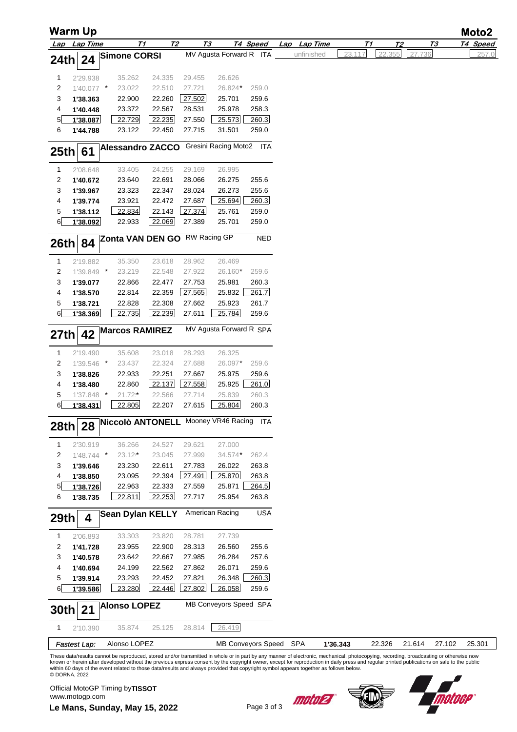|              | Warm Up             |                                         |           |        |                          |            |              |          |        |                |           | Moto2    |
|--------------|---------------------|-----------------------------------------|-----------|--------|--------------------------|------------|--------------|----------|--------|----------------|-----------|----------|
|              | Lap Lap Time        | T1                                      | <b>T2</b> | T3     |                          | T4 Speed   | Lap Lap Time | T1       |        | T <sub>2</sub> | <u>ТЗ</u> | T4 Speed |
| 24th         | 24                  | <b>Simone CORSI</b>                     |           |        | MV Agusta Forward R ITA  |            | unfinished   | 23.117   | 22.355 | 27.736         |           | 257.0    |
|              |                     |                                         |           |        |                          |            |              |          |        |                |           |          |
| $\mathbf{1}$ | 2'29.938            | 35.262                                  | 24.335    | 29.455 | 26.626                   |            |              |          |        |                |           |          |
| 2            | 1'40.077 *          | 23.022                                  | 22.510    | 27.721 | 26.824*                  | 259.0      |              |          |        |                |           |          |
| 3            | 1'38.363            | 22.900                                  | 22.260    | 27.502 | 25.701                   | 259.6      |              |          |        |                |           |          |
| 4            | 1'40.448            | 23.372                                  | 22.567    | 28.531 | 25.978                   | 258.3      |              |          |        |                |           |          |
| 5            | 1'38.087            | 22.729                                  | 22.235    | 27.550 | 25.573                   | 260.3      |              |          |        |                |           |          |
| 6            | 1'44.788            | 23.122                                  | 22.450    | 27.715 | 31.501                   | 259.0      |              |          |        |                |           |          |
|              |                     | <b>Alessandro ZACCO</b>                 |           |        | Gresini Racing Moto2 ITA |            |              |          |        |                |           |          |
| 25th         | 61                  |                                         |           |        |                          |            |              |          |        |                |           |          |
| 1            | 2'08.648            | 33.405                                  | 24.255    | 29.169 | 26.995                   |            |              |          |        |                |           |          |
| 2            | 1'40.672            | 23.640                                  | 22.691    | 28.066 | 26.275                   | 255.6      |              |          |        |                |           |          |
| 3            | 1'39.967            | 23.323                                  | 22.347    | 28.024 | 26.273                   | 255.6      |              |          |        |                |           |          |
| 4            | 1'39.774            | 23.921                                  | 22.472    | 27.687 | 25.694                   | 260.3      |              |          |        |                |           |          |
| 5            | 1'38.112            | 22.834                                  | 22.143    | 27.374 | 25.761                   | 259.0      |              |          |        |                |           |          |
| 6            | 1'38.092            | 22.933                                  | 22.069    | 27.389 | 25.701                   | 259.0      |              |          |        |                |           |          |
|              |                     | Zonta VAN DEN GO RW Racing GP           |           |        |                          | <b>NED</b> |              |          |        |                |           |          |
| <b>26th</b>  | 84                  |                                         |           |        |                          |            |              |          |        |                |           |          |
| 1            | 2'19.882            | 35.350                                  | 23.618    | 28.962 | 26.469                   |            |              |          |        |                |           |          |
| 2            | 1'39.849 *          | 23.219                                  | 22.548    | 27.922 | 26.160*                  | 259.6      |              |          |        |                |           |          |
| 3            | 1'39.077            | 22.866                                  | 22.477    | 27.753 | 25.981                   | 260.3      |              |          |        |                |           |          |
| 4            | 1'38.570            | 22.814                                  | 22.359    | 27.565 | 25.832                   | 261.7      |              |          |        |                |           |          |
| 5            | 1'38.721            | 22.828                                  | 22.308    | 27.662 | 25.923                   | 261.7      |              |          |        |                |           |          |
| 6            | 1'38.369            | 22.735                                  | 22.239    | 27.611 | 25.784                   | 259.6      |              |          |        |                |           |          |
|              |                     | <b>Marcos RAMIREZ</b>                   |           |        | MV Agusta Forward R SPA  |            |              |          |        |                |           |          |
| 27th         | 42                  |                                         |           |        |                          |            |              |          |        |                |           |          |
| 1            | 2'19.490            | 35.608                                  | 23.018    | 28.293 | 26.325                   |            |              |          |        |                |           |          |
| 2            | 1'39.546 *          | 23.437                                  | 22.324    | 27.688 | 26.097*                  | 259.6      |              |          |        |                |           |          |
| 3            | 1'38.826            | 22.933                                  | 22.251    | 27.667 | 25.975                   | 259.6      |              |          |        |                |           |          |
| 4            | 1'38.480            | 22.860                                  | 22.137    | 27.558 | 25.925                   | 261.0      |              |          |        |                |           |          |
| 5            | 1'37.848 *          | 21.72*                                  | 22.566    | 27.714 | 25.839                   | 260.3      |              |          |        |                |           |          |
| 6            | 1'38.431            | 22.805                                  | 22.207    | 27.615 | 25.804                   | 260.3      |              |          |        |                |           |          |
|              |                     | Niccolò ANTONELL Mooney VR46 Racing ITA |           |        |                          |            |              |          |        |                |           |          |
| 28th         | 28                  |                                         |           |        |                          |            |              |          |        |                |           |          |
| 1            | 2'30.919            | 36.266                                  | 24.527    | 29.621 | 27.000                   |            |              |          |        |                |           |          |
| 2            | $1'48.744$ *        | $23.12*$                                | 23.045    | 27.999 | 34.574*                  | 262.4      |              |          |        |                |           |          |
| 3            | 1'39.646            | 23.230                                  | 22.611    | 27.783 | 26.022                   | 263.8      |              |          |        |                |           |          |
| 4            | 1'38.850            | 23.095                                  | 22.394    | 27.491 | 25.870                   | 263.8      |              |          |        |                |           |          |
| 5            | 1'38.726            | 22.963                                  | 22.333    | 27.559 | 25.871                   | 264.5      |              |          |        |                |           |          |
| 6            | 1'38.735            | 22.811                                  | 22.253    | 27.717 | 25.954                   | 263.8      |              |          |        |                |           |          |
|              |                     | <b>Sean Dylan KELLY</b>                 |           |        | American Racing          | <b>USA</b> |              |          |        |                |           |          |
| 29th         | 4                   |                                         |           |        |                          |            |              |          |        |                |           |          |
| 1            | 2'06.893            | 33.303                                  | 23.820    | 28.781 | 27.739                   |            |              |          |        |                |           |          |
| 2            | 1'41.728            | 23.955                                  | 22.900    | 28.313 | 26.560                   | 255.6      |              |          |        |                |           |          |
| 3            | 1'40.578            | 23.642                                  | 22.667    | 27.985 | 26.284                   | 257.6      |              |          |        |                |           |          |
| 4            | 1'40.694            | 24.199                                  | 22.562    | 27.862 | 26.071                   | 259.6      |              |          |        |                |           |          |
| 5            | 1'39.914            | 23.293                                  | 22.452    | 27.821 | 26.348                   | 260.3      |              |          |        |                |           |          |
| 6            | 1'39.586            | 23.280                                  | 22.446    | 27.802 | 26.058                   | 259.6      |              |          |        |                |           |          |
| 30th         | 21                  | <b>Alonso LOPEZ</b>                     |           |        | MB Conveyors Speed SPA   |            |              |          |        |                |           |          |
|              |                     |                                         |           |        |                          |            |              |          |        |                |           |          |
| 1            | 2'10.390            | 35.874                                  | 25.125    | 28.814 | 26.419                   |            |              |          |        |                |           |          |
|              | <b>Fastest Lap:</b> | Alonso LOPEZ                            |           |        | MB Conveyors Speed SPA   |            |              | 1'36.343 | 22.326 | 21.614         | 27.102    | 25.301   |

These data/results cannot be reproduced, stored and/or transmitted in whole or in part by any manner of electronic, mechanical, photocopying, recording, broadcasting or otherwise now<br>known or herein after developed without © DORNA, 2022

www.motogp.com<br> **Le Mans, Sunday, May 15, 2022** Page 3 of 3 Official MotoGP Timing by **TISSOT**www.motogp.com



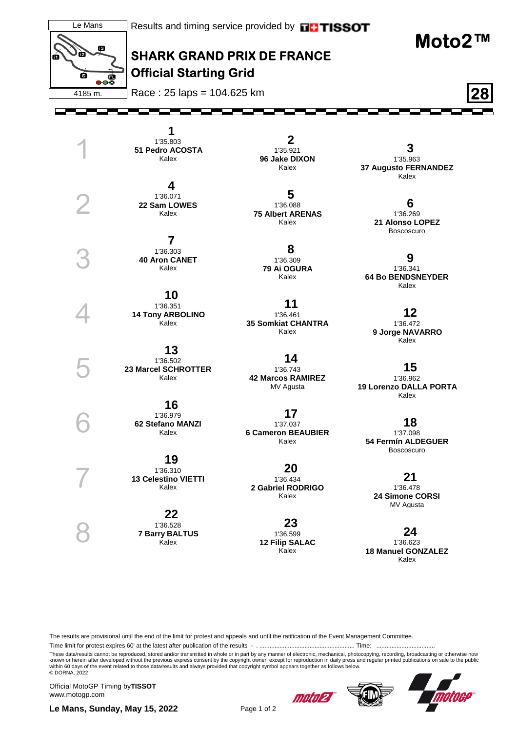

The results are provisional until the end of the limit for protest and appeals and until the ratification of the Event Management Committee.

Time limit for protest expires 60' at the latest after publication of the results - . ......................................................... Time: ...................................

These data/results cannot be reproduced, stored and/or transmitted in whole or in part by any manner of electronic, mechanical, photocopying, recording, broadcasting or otherwise now<br>known or herein after developed without © DORNA, 2022

Official MotoGP Timing by **TISSOT**www.motogp.com

**Le Mans, Sunday, May 15, 2022** Page 1 of 2

moto 2

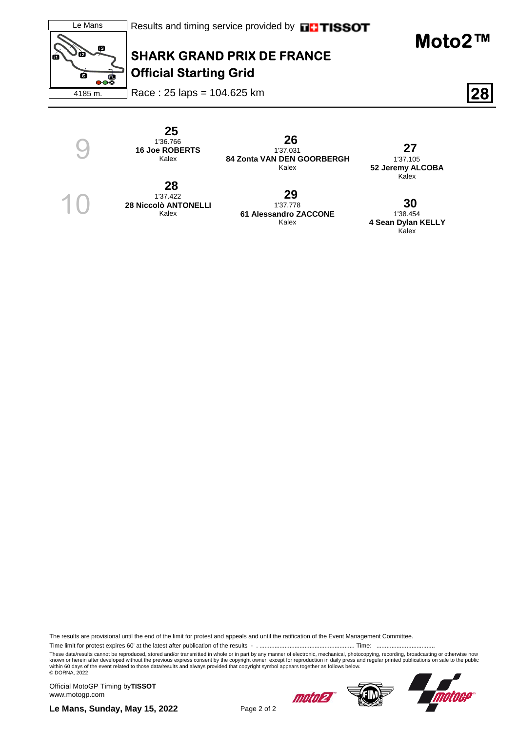

 **25**  1'36.766 **16 Joe ROBERTS** Kalex

 **28**  1'37.422 **28 Niccolò ANTONELLI** Kalex

9

10

 **26**  1'37.031 **84 Zonta VAN DEN GOORBERGH** Kalex

> **29**  1'37.778

> > Kalex

 **27**  1'37.105 **52 Jeremy ALCOBA** Kalex

**61 Alessandro ZACCONE 30**  1'38.454 **4 Sean Dylan KELLY** Kalex

The results are provisional until the end of the limit for protest and appeals and until the ratification of the Event Management Committee.

Time limit for protest expires 60' at the latest after publication of the results - . ......................................................... Time: ...................................

These data/results cannot be reproduced, stored and/or transmitted in whole or in part by any manner of electronic, mechanical, photocopying, recording, broadcasting or otherwise now<br>known or herein after developed without © DORNA, 2022

Official MotoGP Timing by **TISSOT**www.motogp.com

moto27



**Le Mans, Sunday, May 15, 2022** Page 2 of 2

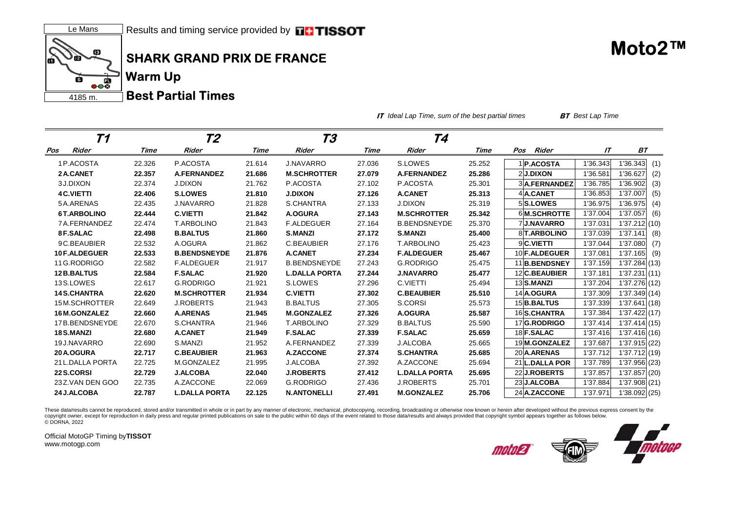

**IT** *Ideal Lap Time, sum of the best partial times* **BT** *Best Lap Time*

| Т1                |        | Т2                   |        | Т3                   |        | Т4                   |        |                      |          |                 |
|-------------------|--------|----------------------|--------|----------------------|--------|----------------------|--------|----------------------|----------|-----------------|
| Rider<br>Pos      | Time   | <b>Rider</b>         | Time   | <b>Rider</b>         | Time   | Rider                | Time   | Rider<br>Pos         | IΤ       | ВT              |
| 1P.ACOSTA         | 22.326 | P.ACOSTA             | 21.614 | <b>J.NAVARRO</b>     | 27.036 | S.LOWES              | 25.252 | <b>P.ACOSTA</b>      | 1'36.343 | 1'36.343<br>(1) |
| 2A.CANET          | 22.357 | <b>A.FERNANDEZ</b>   | 21.686 | <b>M.SCHROTTER</b>   | 27.079 | <b>A.FERNANDEZ</b>   | 25.286 | 2J.DIXON             | 1'36.581 | 1'36.627<br>(2) |
| 3 J.DIXON         | 22.374 | <b>J.DIXON</b>       | 21.762 | P.ACOSTA             | 27.102 | P.ACOSTA             | 25.301 | 3 A.FERNANDEZ        | 1'36.785 | 1'36.902<br>(3) |
| <b>4 C.VIETTI</b> | 22.406 | <b>S.LOWES</b>       | 21.810 | <b>J.DIXON</b>       | 27.126 | <b>A.CANET</b>       | 25.313 | 4A.CANET             | 1'36.853 | 1'37.007<br>(5) |
| 5A.ARENAS         | 22.435 | <b>J.NAVARRO</b>     | 21.828 | S.CHANTRA            | 27.133 | <b>J.DIXON</b>       | 25.319 | 5S.LOWES             | 1'36.975 | 1'36.975<br>(4) |
| 6T.ARBOLINO       | 22.444 | <b>C.VIETTI</b>      | 21.842 | <b>A.OGURA</b>       | 27.143 | <b>M.SCHROTTER</b>   | 25.342 | 6M.SCHROTTE          | 1'37.004 | 1'37.057<br>(6) |
| 7A.FERNANDEZ      | 22.474 | <b>T.ARBOLINO</b>    | 21.843 | <b>F.ALDEGUER</b>    | 27.164 | <b>B.BENDSNEYDE</b>  | 25.370 | 7J.NAVARRO           | 1'37.031 | 1'37.212(10)    |
| 8F.SALAC          | 22.498 | <b>B.BALTUS</b>      | 21.860 | <b>S.MANZI</b>       | 27.172 | <b>S.MANZI</b>       | 25.400 | 8 T.ARBOLINO         | 1'37.039 | 1'37.141<br>(8) |
| 9C.BEAUBIER       | 22.532 | A.OGURA              | 21.862 | C.BEAUBIER           | 27.176 | <b>T.ARBOLINO</b>    | 25.423 | 9C.VIETTI            | 1'37.044 | 1'37.080<br>(7) |
| 10 F.ALDEGUER     | 22.533 | <b>B.BENDSNEYDE</b>  | 21.876 | <b>A.CANET</b>       | 27.234 | <b>F.ALDEGUER</b>    | 25.467 | 10 <b>F.ALDEGUER</b> | 1'37.081 | 1'37.165<br>(9) |
| 11 G.RODRIGO      | 22.582 | <b>F.ALDEGUER</b>    | 21.917 | <b>B.BENDSNEYDE</b>  | 27.243 | <b>G.RODRIGO</b>     | 25.475 | 11B.BENDSNEY         | 1'37.159 | 1'37.284(13)    |
| 12 B.BALTUS       | 22.584 | <b>F.SALAC</b>       | 21.920 | <b>L.DALLA PORTA</b> | 27.244 | <b>J.NAVARRO</b>     | 25.477 | 12 C.BEAUBIER        | 1'37.181 | 1'37.231(11)    |
| 13S.LOWES         | 22.617 | <b>G.RODRIGO</b>     | 21.921 | S.LOWES              | 27.296 | C.VIETTI             | 25.494 | 13 S.MANZI           | 1'37.204 | 1'37.276(12)    |
| 14 S.CHANTRA      | 22.620 | <b>M.SCHROTTER</b>   | 21.934 | <b>C.VIETTI</b>      | 27.302 | <b>C.BEAUBIER</b>    | 25.510 | 14 A.OGURA           | 1'37.309 | 1'37.349 (14)   |
| 15M.SCHROTTER     | 22.649 | <b>J.ROBERTS</b>     | 21.943 | <b>B.BALTUS</b>      | 27.305 | S.CORSI              | 25.573 | 15 <b>B.BALTUS</b>   | 1'37.339 | 1'37.641(18)    |
| 16 M.GONZALEZ     | 22.660 | <b>A.ARENAS</b>      | 21.945 | <b>M.GONZALEZ</b>    | 27.326 | <b>A.OGURA</b>       | 25.587 | 16 S.CHANTRA         | 1'37.384 | 1'37.422(17)    |
| 17B.BENDSNEYDE    | 22.670 | S.CHANTRA            | 21.946 | <b>T.ARBOLINO</b>    | 27.329 | <b>B.BALTUS</b>      | 25.590 | 17 G.RODRIGO         | 1'37.414 | 1'37.414(15)    |
| <b>18 S.MANZI</b> | 22.680 | <b>A.CANET</b>       | 21.949 | <b>F.SALAC</b>       | 27.339 | <b>F.SALAC</b>       | 25.659 | 18 F.SALAC           | 1'37.416 | 1'37.416(16)    |
| 19 J.NAVARRO      | 22.690 | S.MANZI              | 21.952 | A.FERNANDEZ          | 27.339 | <b>J.ALCOBA</b>      | 25.665 | 19M.GONZALEZ         | 1'37.687 | 1'37.915(22)    |
| 20 A.OGURA        | 22.717 | <b>C.BEAUBIER</b>    | 21.963 | <b>A.ZACCONE</b>     | 27.374 | <b>S.CHANTRA</b>     | 25.685 | 20 A.ARENAS          | 1'37.712 | 1'37.712 (19)   |
| 21 L.DALLA PORTA  | 22.725 | M.GONZALEZ           | 21.995 | <b>J.ALCOBA</b>      | 27.392 | A.ZACCONE            | 25.694 | 21 L.DALLA POR       | 1'37.789 | 1'37.956 (23)   |
| 22 S.CORSI        | 22.729 | <b>J.ALCOBA</b>      | 22.040 | <b>J.ROBERTS</b>     | 27.412 | <b>L.DALLA PORTA</b> | 25.695 | 22 J.ROBERTS         | 1'37.857 | 1'37.857(20)    |
| 23Z.VAN DEN GOO   | 22.735 | A.ZACCONE            | 22.069 | <b>G.RODRIGO</b>     | 27.436 | <b>J.ROBERTS</b>     | 25.701 | 23 J.ALCOBA          | 1'37.884 | 1'37.908(21)    |
| 24 J.ALCOBA       | 22.787 | <b>L.DALLA PORTA</b> | 22.125 | <b>N.ANTONELLI</b>   | 27.491 | <b>M.GONZALEZ</b>    | 25.706 | 24 A.ZACCONE         | 1'37.971 | 1'38.092 (25)   |

These data/results cannot be reproduced, stored and/or transmitted in whole or in part by any manner of electronic, mechanical, photocopying, recording, broadcasting or otherwise now known or herein after developed without copyright owner, except for reproduction in daily press and regular printed publications on sale to the public within 60 days of the event related to those data/results and always provided that copyright symbol appears tog © DORNA, 2022

Official MotoGP Timing by **TISSOT**www.motogp.com

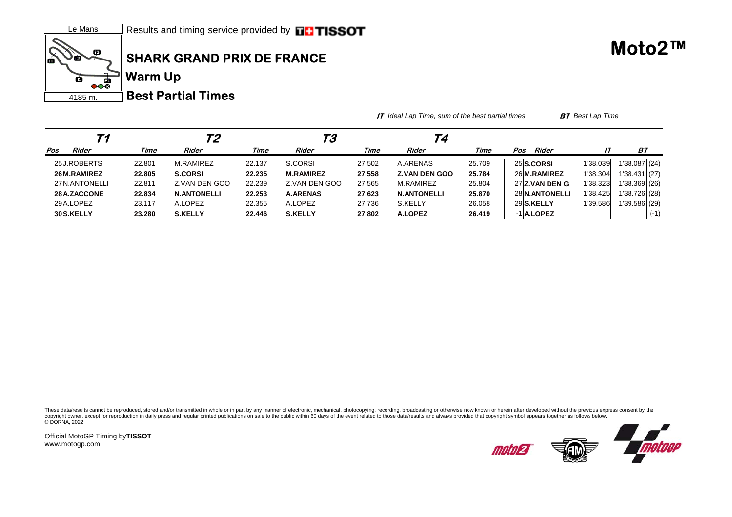

**IT** *Ideal Lap Time, sum of the best partial times* **BT** *Best Lap Time*

| Т1             |        | Т2                 |        | ТЗ               |        | Т4                   |        |     |                  |          |               |        |
|----------------|--------|--------------------|--------|------------------|--------|----------------------|--------|-----|------------------|----------|---------------|--------|
| Rider<br>Pos   | Time   | Rider              | Time   | Rider            | Time   | Rider                | Time   | Pos | Rider            |          | BT            |        |
| 25 J.ROBERTS   | 22.801 | M.RAMIREZ          | 22.137 | S.CORSI          | 27.502 | A.ARENAS             | 25.709 |     | 25 S.CORSI       | 1'38.039 | 1'38.087(24)  |        |
| 26 M.RAMIREZ   | 22.805 | <b>S.CORSI</b>     | 22.235 | <b>M.RAMIREZ</b> | 27.558 | <b>Z.VAN DEN GOO</b> | 25.784 |     | 26 M.RAMIREZ     | '38.304  | 1'38.431 (27) |        |
| 27 N.ANTONELLI | 22.811 | Z.VAN DEN GOO      | 22.239 | Z.VAN DEN GOO    | 27.565 | M.RAMIREZ            | 25.804 |     | 27 Z.VAN DEN G   | 1'38.323 | 1'38.369 (26) |        |
| 28 A.ZACCONE   | 22.834 | <b>N.ANTONELLI</b> | 22.253 | <b>A.ARENAS</b>  | 27.623 | <b>N.ANTONELLI</b>   | 25.870 |     | 28 N.ANTONELLI   | 1'38.425 | 1'38.726 (28) |        |
| 29 A.LOPEZ     | 23.117 | A.LOPEZ            | 22.355 | A.LOPEZ          | 27.736 | S.KELLY              | 26.058 |     | 29 S.KELLY       | 1'39.586 | 1'39.586 (29) |        |
| 30 S.KELLY     | 23.280 | <b>S.KELLY</b>     | 22.446 | <b>S.KELLY</b>   | 27.802 | <b>A.LOPEZ</b>       | 26.419 |     | $-1$ $A$ . LOPEZ |          |               | $(-1)$ |

These data/results cannot be reproduced, stored and/or transmitted in whole or in part by any manner of electronic, mechanical, photocopying, recording, broadcasting or otherwise now known or herein after developed without copyright owner, except for reproduction in daily press and regular printed publications on sale to the public within 60 days of the event related to those data/results and always provided that copyright symbol appears tog © DORNA, 2022

Official MotoGP Timing by **TISSOT**www.motogp.com